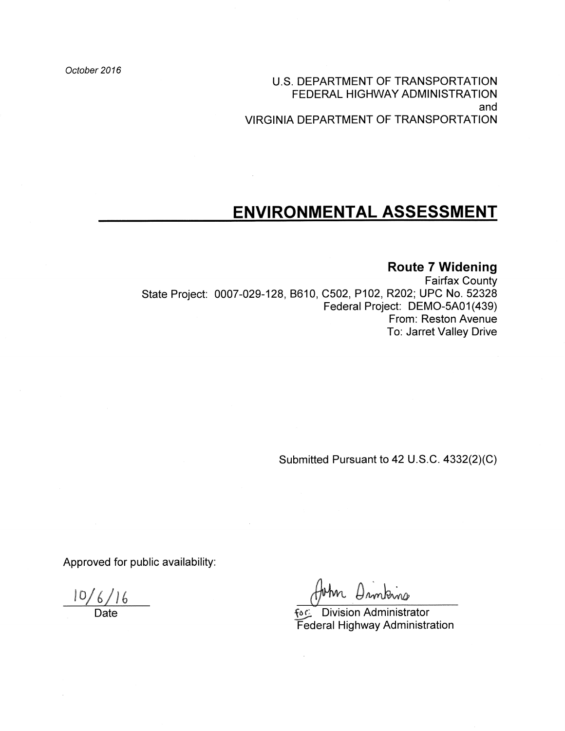October 2016

U.S. DEPARTMENT OF TRANSPORTATION FEDERAL HIGHWAY ADMINISTRATION and **VIRGINIA DEPARTMENT OF TRANSPORTATION** 

# ENVIRONMENTAL ASSESSMENT

### **Route 7 Widening**

**Fairfax County** State Project: 0007-029-128, B610, C502, P102, R202; UPC No. 52328 Federal Project: DEMO-5A01(439) From: Reston Avenue To: Jarret Valley Drive

 $\mathcal{L}^{\pm}$ 

Submitted Pursuant to 42 U.S.C. 4332(2)(C)

Approved for public availability:

 $\frac{10/6/16}{\text{Date}}$ 

In Dronkins

fაো Division Administrator Federal Highway Administration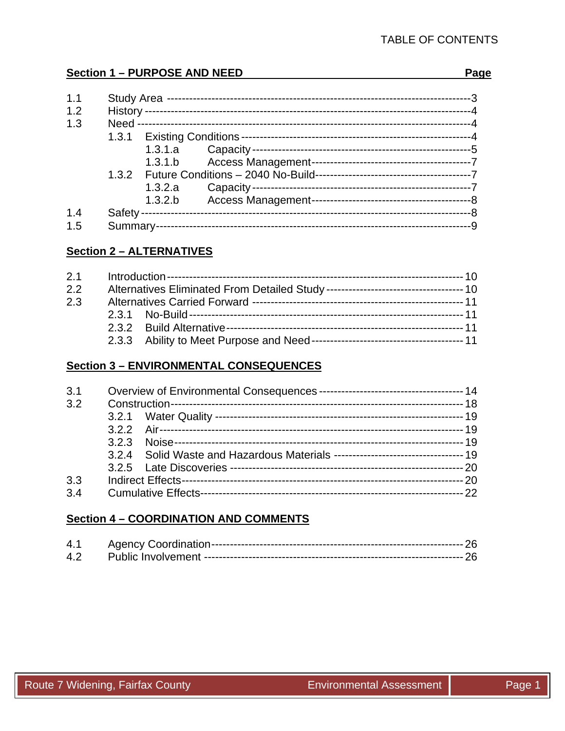### **Section 1 - PURPOSE AND NEED**

#### Page

| 1.1 |         |  |
|-----|---------|--|
| 1.2 |         |  |
| 1.3 |         |  |
|     |         |  |
|     |         |  |
|     | 1.3.1.b |  |
|     |         |  |
|     | 1.3.2.a |  |
|     | 1.3.2.b |  |
| 1.4 |         |  |
| 1.5 |         |  |

# **Section 2 - ALTERNATIVES**

| 2.1 |  |  |
|-----|--|--|
| 2.2 |  |  |
| 2.3 |  |  |
|     |  |  |
|     |  |  |
|     |  |  |

### **Section 3 - ENVIRONMENTAL CONSEQUENCES**

| 3.1 |  |  |  |  |  |
|-----|--|--|--|--|--|
| 3.2 |  |  |  |  |  |
|     |  |  |  |  |  |
|     |  |  |  |  |  |
|     |  |  |  |  |  |
|     |  |  |  |  |  |
|     |  |  |  |  |  |
| 3.3 |  |  |  |  |  |
| 3.4 |  |  |  |  |  |

# **Section 4 - COORDINATION AND COMMENTS**

| 4.1 |  |
|-----|--|
| 4.2 |  |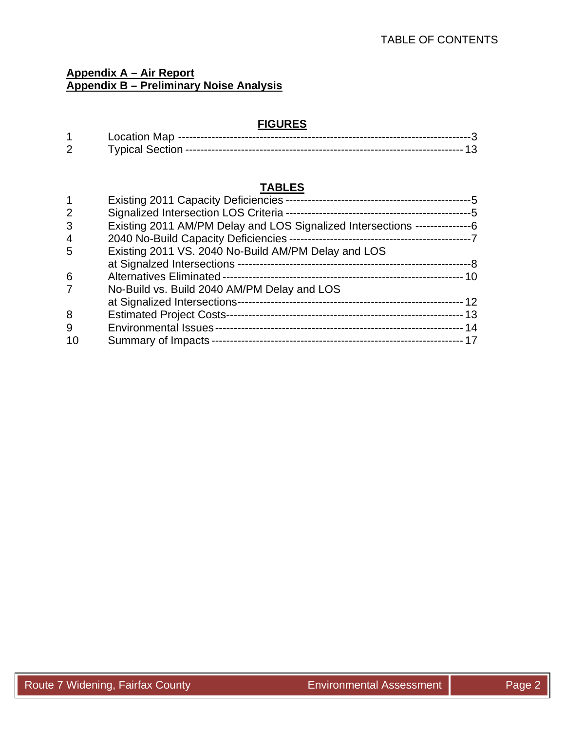# **Appendix A – Air Report Appendix B – Preliminary Noise Analysis**

# **FIGURES**

| _ocation Mar     |  |
|------------------|--|
| ™vnical Sectior. |  |

# **TABLES**

| 2  |                                                                              |  |
|----|------------------------------------------------------------------------------|--|
| 3  | Existing 2011 AM/PM Delay and LOS Signalized Intersections ----------------6 |  |
| 4  |                                                                              |  |
| 5  | Existing 2011 VS. 2040 No-Build AM/PM Delay and LOS                          |  |
|    |                                                                              |  |
| 6  |                                                                              |  |
|    | No-Build vs. Build 2040 AM/PM Delay and LOS                                  |  |
|    | at Signalized Intersections-                                                 |  |
| 8  | <b>Estimated Project Costs-</b>                                              |  |
| 9  |                                                                              |  |
| 10 |                                                                              |  |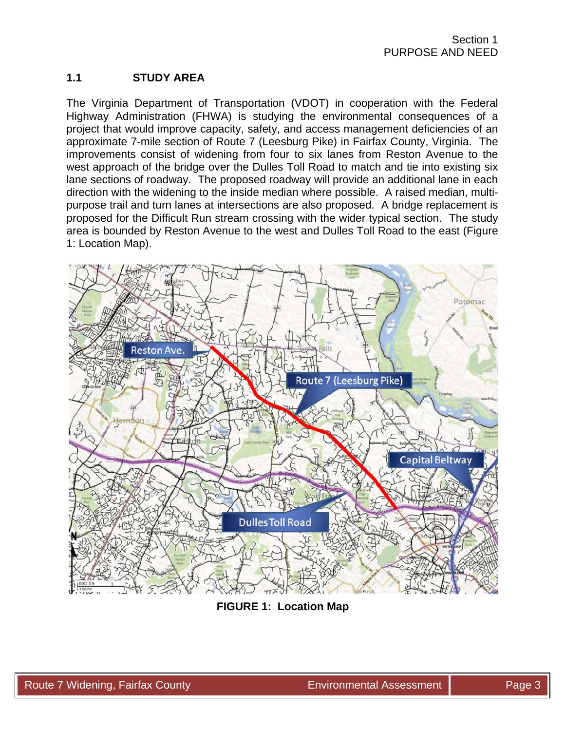# **1.1 STUDY AREA**

The Virginia Department of Transportation (VDOT) in cooperation with the Federal Highway Administration (FHWA) is studying the environmental consequences of a project that would improve capacity, safety, and access management deficiencies of an approximate 7-mile section of Route 7 (Leesburg Pike) in Fairfax County, Virginia. The improvements consist of widening from four to six lanes from Reston Avenue to the west approach of the bridge over the Dulles Toll Road to match and tie into existing six lane sections of roadway. The proposed roadway will provide an additional lane in each direction with the widening to the inside median where possible. A raised median, multipurpose trail and turn lanes at intersections are also proposed. A bridge replacement is proposed for the Difficult Run stream crossing with the wider typical section. The study area is bounded by Reston Avenue to the west and Dulles Toll Road to the east (Figure 1: Location Map).



**FIGURE 1: Location Map**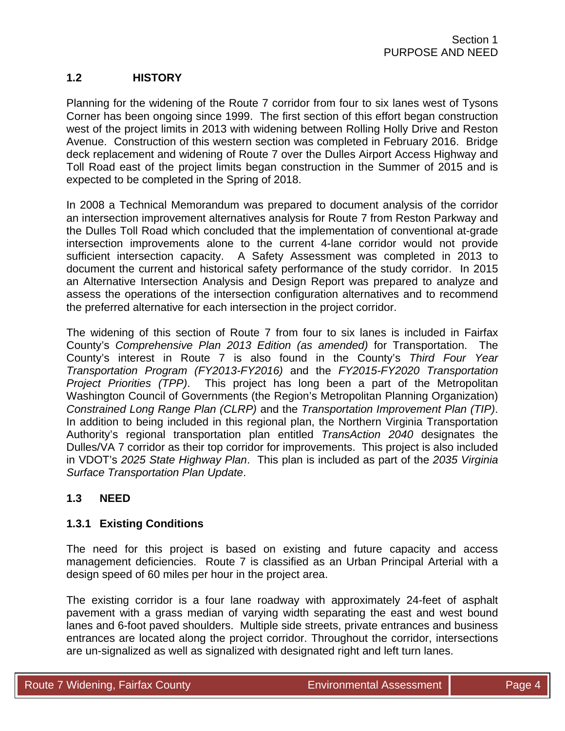# **1.2 HISTORY**

Planning for the widening of the Route 7 corridor from four to six lanes west of Tysons Corner has been ongoing since 1999. The first section of this effort began construction west of the project limits in 2013 with widening between Rolling Holly Drive and Reston Avenue. Construction of this western section was completed in February 2016. Bridge deck replacement and widening of Route 7 over the Dulles Airport Access Highway and Toll Road east of the project limits began construction in the Summer of 2015 and is expected to be completed in the Spring of 2018.

In 2008 a Technical Memorandum was prepared to document analysis of the corridor an intersection improvement alternatives analysis for Route 7 from Reston Parkway and the Dulles Toll Road which concluded that the implementation of conventional at-grade intersection improvements alone to the current 4-lane corridor would not provide sufficient intersection capacity. A Safety Assessment was completed in 2013 to document the current and historical safety performance of the study corridor. In 2015 an Alternative Intersection Analysis and Design Report was prepared to analyze and assess the operations of the intersection configuration alternatives and to recommend the preferred alternative for each intersection in the project corridor.

The widening of this section of Route 7 from four to six lanes is included in Fairfax County's *Comprehensive Plan 2013 Edition (as amended)* for Transportation. The County's interest in Route 7 is also found in the County's *Third Four Year Transportation Program (FY2013-FY2016)* and the *FY2015-FY2020 Transportation Project Priorities (TPP)*. This project has long been a part of the Metropolitan Washington Council of Governments (the Region's Metropolitan Planning Organization) *Constrained Long Range Plan (CLRP)* and the *Transportation Improvement Plan (TIP)*. In addition to being included in this regional plan, the Northern Virginia Transportation Authority's regional transportation plan entitled *TransAction 2040* designates the Dulles/VA 7 corridor as their top corridor for improvements. This project is also included in VDOT's *2025 State Highway Plan*. This plan is included as part of the *2035 Virginia Surface Transportation Plan Update*.

# **1.3 NEED**

### **1.3.1 Existing Conditions**

The need for this project is based on existing and future capacity and access management deficiencies. Route 7 is classified as an Urban Principal Arterial with a design speed of 60 miles per hour in the project area.

The existing corridor is a four lane roadway with approximately 24-feet of asphalt pavement with a grass median of varying width separating the east and west bound lanes and 6-foot paved shoulders. Multiple side streets, private entrances and business entrances are located along the project corridor. Throughout the corridor, intersections are un-signalized as well as signalized with designated right and left turn lanes.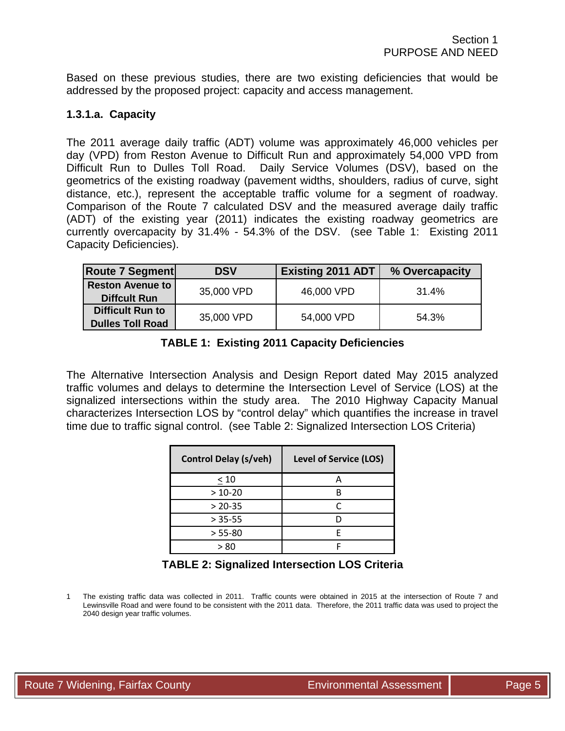Based on these previous studies, there are two existing deficiencies that would be addressed by the proposed project: capacity and access management.

#### **1.3.1.a. Capacity**

The 2011 average daily traffic (ADT) volume was approximately 46,000 vehicles per day (VPD) from Reston Avenue to Difficult Run and approximately 54,000 VPD from Difficult Run to Dulles Toll Road. Daily Service Volumes (DSV), based on the geometrics of the existing roadway (pavement widths, shoulders, radius of curve, sight distance, etc.), represent the acceptable traffic volume for a segment of roadway. Comparison of the Route 7 calculated DSV and the measured average daily traffic (ADT) of the existing year (2011) indicates the existing roadway geometrics are currently overcapacity by 31.4% - 54.3% of the DSV. (see Table 1: Existing 2011 Capacity Deficiencies).

| <b>Route 7 Segment</b>                             | <b>DSV</b> | <b>Existing 2011 ADT</b> | % Overcapacity |  |  |
|----------------------------------------------------|------------|--------------------------|----------------|--|--|
| <b>Reston Avenue to</b><br><b>Diffcult Run</b>     | 35,000 VPD | 46,000 VPD               | 31.4%          |  |  |
| <b>Difficult Run to</b><br><b>Dulles Toll Road</b> | 35,000 VPD | 54,000 VPD               | 54.3%          |  |  |

The Alternative Intersection Analysis and Design Report dated May 2015 analyzed traffic volumes and delays to determine the Intersection Level of Service (LOS) at the signalized intersections within the study area. The 2010 Highway Capacity Manual characterizes Intersection LOS by "control delay" which quantifies the increase in travel time due to traffic signal control. (see Table 2: Signalized Intersection LOS Criteria)

| <b>Control Delay (s/veh)</b> | <b>Level of Service (LOS)</b> |
|------------------------------|-------------------------------|
| < 10                         | А                             |
| $> 10-20$                    |                               |
| $> 20-35$                    |                               |
| $> 35 - 55$                  |                               |
| $> 55 - 80$                  |                               |
| > ጸበ                         |                               |

### **TABLE 2: Signalized Intersection LOS Criteria**

1 The existing traffic data was collected in 2011. Traffic counts were obtained in 2015 at the intersection of Route 7 and Lewinsville Road and were found to be consistent with the 2011 data. Therefore, the 2011 traffic data was used to project the 2040 design year traffic volumes.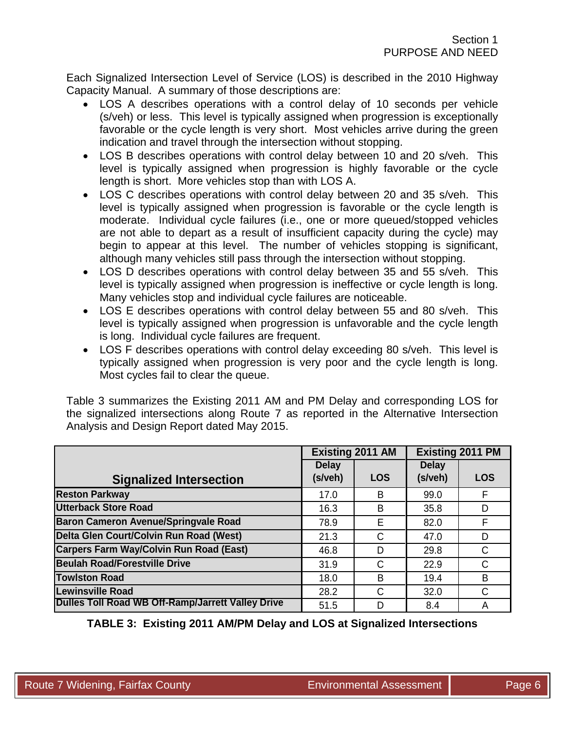Each Signalized Intersection Level of Service (LOS) is described in the 2010 Highway Capacity Manual. A summary of those descriptions are:

- LOS A describes operations with a control delay of 10 seconds per vehicle (s/veh) or less. This level is typically assigned when progression is exceptionally favorable or the cycle length is very short. Most vehicles arrive during the green indication and travel through the intersection without stopping.
- LOS B describes operations with control delay between 10 and 20 s/veh. This level is typically assigned when progression is highly favorable or the cycle length is short. More vehicles stop than with LOS A.
- LOS C describes operations with control delay between 20 and 35 s/veh. This level is typically assigned when progression is favorable or the cycle length is moderate. Individual cycle failures (i.e., one or more queued/stopped vehicles are not able to depart as a result of insufficient capacity during the cycle) may begin to appear at this level. The number of vehicles stopping is significant, although many vehicles still pass through the intersection without stopping.
- LOS D describes operations with control delay between 35 and 55 s/veh. This level is typically assigned when progression is ineffective or cycle length is long. Many vehicles stop and individual cycle failures are noticeable.
- LOS E describes operations with control delay between 55 and 80 s/veh. This level is typically assigned when progression is unfavorable and the cycle length is long. Individual cycle failures are frequent.
- LOS F describes operations with control delay exceeding 80 s/veh. This level is typically assigned when progression is very poor and the cycle length is long. Most cycles fail to clear the queue.

Table 3 summarizes the Existing 2011 AM and PM Delay and corresponding LOS for the signalized intersections along Route 7 as reported in the Alternative Intersection Analysis and Design Report dated May 2015.

|                                                   |              | <b>Existing 2011 AM</b> |              | <b>Existing 2011 PM</b> |
|---------------------------------------------------|--------------|-------------------------|--------------|-------------------------|
|                                                   | <b>Delay</b> |                         | <b>Delay</b> |                         |
| <b>Signalized Intersection</b>                    | (s/veh)      | <b>LOS</b>              | (s/veh)      | <b>LOS</b>              |
| <b>Reston Parkway</b>                             | 17.0         | B                       | 99.0         | F                       |
| <b>Utterback Store Road</b>                       | 16.3         | B                       | 35.8         | D                       |
| <b>Baron Cameron Avenue/Springvale Road</b>       | 78.9         | Е                       | 82.0         | F                       |
| Delta Glen Court/Colvin Run Road (West)           | 21.3         | C                       | 47.0         | D                       |
| <b>Carpers Farm Way/Colvin Run Road (East)</b>    | 46.8         | D                       | 29.8         | C                       |
| <b>Beulah Road/Forestville Drive</b>              | 31.9         | C                       | 22.9         | C                       |
| <b>Towlston Road</b>                              | 18.0         | B                       | 19.4         | B                       |
| <b>Lewinsville Road</b>                           | 28.2         | C                       | 32.0         | C                       |
| Dulles Toll Road WB Off-Ramp/Jarrett Valley Drive | 51.5         |                         | 8.4          | A                       |

**TABLE 3: Existing 2011 AM/PM Delay and LOS at Signalized Intersections**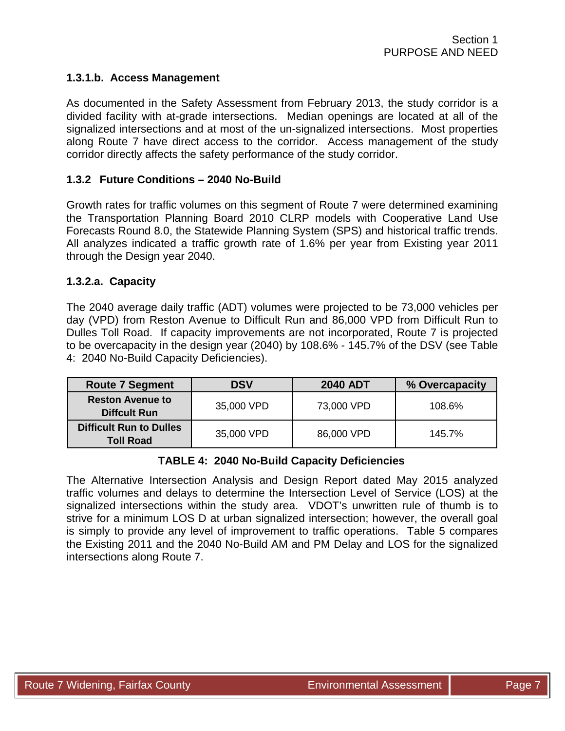#### **1.3.1.b. Access Management**

As documented in the Safety Assessment from February 2013, the study corridor is a divided facility with at-grade intersections. Median openings are located at all of the signalized intersections and at most of the un-signalized intersections. Most properties along Route 7 have direct access to the corridor. Access management of the study corridor directly affects the safety performance of the study corridor.

#### **1.3.2 Future Conditions – 2040 No-Build**

Growth rates for traffic volumes on this segment of Route 7 were determined examining the Transportation Planning Board 2010 CLRP models with Cooperative Land Use Forecasts Round 8.0, the Statewide Planning System (SPS) and historical traffic trends. All analyzes indicated a traffic growth rate of 1.6% per year from Existing year 2011 through the Design year 2040.

#### **1.3.2.a. Capacity**

The 2040 average daily traffic (ADT) volumes were projected to be 73,000 vehicles per day (VPD) from Reston Avenue to Difficult Run and 86,000 VPD from Difficult Run to Dulles Toll Road. If capacity improvements are not incorporated, Route 7 is projected to be overcapacity in the design year (2040) by 108.6% - 145.7% of the DSV (see Table 4: 2040 No-Build Capacity Deficiencies).

| <b>Route 7 Segment</b>                             | <b>DSV</b> | <b>2040 ADT</b> | % Overcapacity |  |
|----------------------------------------------------|------------|-----------------|----------------|--|
| <b>Reston Avenue to</b><br><b>Diffcult Run</b>     | 35,000 VPD | 73,000 VPD      | 108.6%         |  |
| <b>Difficult Run to Dulles</b><br><b>Toll Road</b> | 35,000 VPD | 86,000 VPD      | 145.7%         |  |

#### **TABLE 4: 2040 No-Build Capacity Deficiencies**

The Alternative Intersection Analysis and Design Report dated May 2015 analyzed traffic volumes and delays to determine the Intersection Level of Service (LOS) at the signalized intersections within the study area. VDOT's unwritten rule of thumb is to strive for a minimum LOS D at urban signalized intersection; however, the overall goal is simply to provide any level of improvement to traffic operations. Table 5 compares the Existing 2011 and the 2040 No-Build AM and PM Delay and LOS for the signalized intersections along Route 7.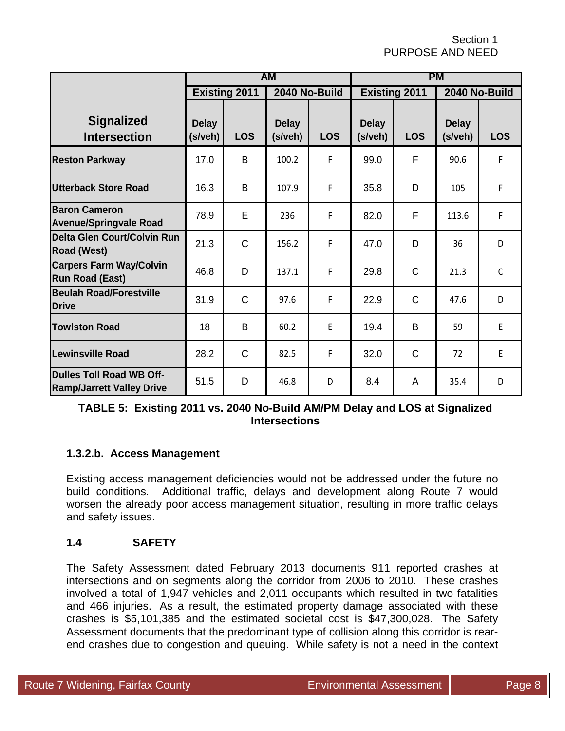Section 1 PURPOSE AND NEED

|                                                                     | AM                      |              |                         |            | <b>PM</b>               |              |                         |              |
|---------------------------------------------------------------------|-------------------------|--------------|-------------------------|------------|-------------------------|--------------|-------------------------|--------------|
|                                                                     | <b>Existing 2011</b>    |              | 2040 No-Build           |            | <b>Existing 2011</b>    |              | 2040 No-Build           |              |
| <b>Signalized</b><br><b>Intersection</b>                            | <b>Delay</b><br>(s/veh) | <b>LOS</b>   | <b>Delay</b><br>(s/veh) | <b>LOS</b> | <b>Delay</b><br>(s/veh) | <b>LOS</b>   | <b>Delay</b><br>(s/veh) | <b>LOS</b>   |
| <b>Reston Parkway</b>                                               | 17.0                    | B            | 100.2                   | F          | 99.0                    | F            | 90.6                    | F            |
| Utterback Store Road                                                | 16.3                    | B            | 107.9                   | F          | 35.8                    | D            | 105                     | F            |
| <b>Baron Cameron</b><br><b>Avenue/Springvale Road</b>               | 78.9                    | E            | 236                     | F          | 82.0                    | F            | 113.6                   | F            |
| <b>Delta Glen Court/Colvin Run</b><br><b>Road (West)</b>            | 21.3                    | $\mathsf C$  | 156.2                   | F          | 47.0                    | D            | 36                      | D            |
| <b>Carpers Farm Way/Colvin</b><br><b>Run Road (East)</b>            | 46.8                    | D            | 137.1                   | F          | 29.8                    | $\mathsf{C}$ | 21.3                    | $\mathsf{C}$ |
| <b>Beulah Road/Forestville</b><br><b>Drive</b>                      | 31.9                    | $\mathsf C$  | 97.6                    | F          | 22.9                    | $\mathsf C$  | 47.6                    | D            |
| <b>Towlston Road</b>                                                | 18                      | B            | 60.2                    | E          | 19.4                    | B            | 59                      | E            |
| <b>Lewinsville Road</b>                                             | 28.2                    | $\mathsf{C}$ | 82.5                    | F          | 32.0                    | $\mathsf{C}$ | 72                      | E            |
| <b>Dulles Toll Road WB Off-</b><br><b>Ramp/Jarrett Valley Drive</b> | 51.5                    | D            | 46.8                    | D          | 8.4                     | A            | 35.4                    | D            |

**TABLE 5: Existing 2011 vs. 2040 No-Build AM/PM Delay and LOS at Signalized Intersections** 

### **1.3.2.b. Access Management**

Existing access management deficiencies would not be addressed under the future no build conditions. Additional traffic, delays and development along Route 7 would worsen the already poor access management situation, resulting in more traffic delays and safety issues.

### **1.4 SAFETY**

The Safety Assessment dated February 2013 documents 911 reported crashes at intersections and on segments along the corridor from 2006 to 2010. These crashes involved a total of 1,947 vehicles and 2,011 occupants which resulted in two fatalities and 466 injuries. As a result, the estimated property damage associated with these crashes is \$5,101,385 and the estimated societal cost is \$47,300,028. The Safety Assessment documents that the predominant type of collision along this corridor is rearend crashes due to congestion and queuing. While safety is not a need in the context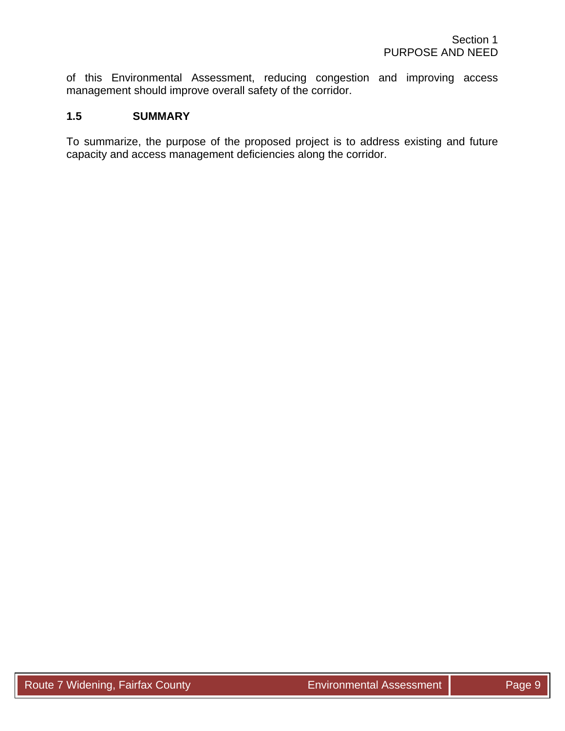of this Environmental Assessment, reducing congestion and improving access management should improve overall safety of the corridor.

#### **1.5 SUMMARY**

To summarize, the purpose of the proposed project is to address existing and future capacity and access management deficiencies along the corridor.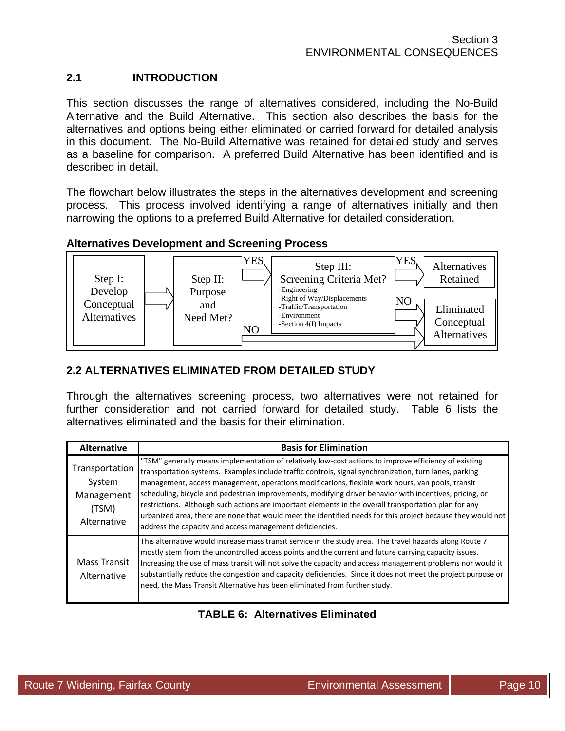# **2.1 INTRODUCTION**

This section discusses the range of alternatives considered, including the No-Build Alternative and the Build Alternative. This section also describes the basis for the alternatives and options being either eliminated or carried forward for detailed analysis in this document. The No-Build Alternative was retained for detailed study and serves as a baseline for comparison. A preferred Build Alternative has been identified and is described in detail.

The flowchart below illustrates the steps in the alternatives development and screening process. This process involved identifying a range of alternatives initially and then narrowing the options to a preferred Build Alternative for detailed consideration.

### **Alternatives Development and Screening Process**



# **2.2 ALTERNATIVES ELIMINATED FROM DETAILED STUDY**

Through the alternatives screening process, two alternatives were not retained for further consideration and not carried forward for detailed study. Table 6 lists the alternatives eliminated and the basis for their elimination.

| <b>Alternative</b>                                             | <b>Basis for Elimination</b>                                                                                                                                                                                                                                                                                                                                                                                                                                                                                                                                                                                                                                                                                       |
|----------------------------------------------------------------|--------------------------------------------------------------------------------------------------------------------------------------------------------------------------------------------------------------------------------------------------------------------------------------------------------------------------------------------------------------------------------------------------------------------------------------------------------------------------------------------------------------------------------------------------------------------------------------------------------------------------------------------------------------------------------------------------------------------|
| Transportation<br>System<br>Management<br>(TSM)<br>Alternative | "TSM" generally means implementation of relatively low-cost actions to improve efficiency of existing<br>transportation systems. Examples include traffic controls, signal synchronization, turn lanes, parking<br>management, access management, operations modifications, flexible work hours, van pools, transit<br>scheduling, bicycle and pedestrian improvements, modifying driver behavior with incentives, pricing, or<br>restrictions. Although such actions are important elements in the overall transportation plan for any<br>urbanized area, there are none that would meet the identified needs for this project because they would not<br>address the capacity and access management deficiencies. |
| <b>Mass Transit</b><br>Alternative                             | This alternative would increase mass transit service in the study area. The travel hazards along Route 7<br>mostly stem from the uncontrolled access points and the current and future carrying capacity issues.<br>Increasing the use of mass transit will not solve the capacity and access management problems nor would it<br>substantially reduce the congestion and capacity deficiencies. Since it does not meet the project purpose or<br>need, the Mass Transit Alternative has been eliminated from further study.                                                                                                                                                                                       |

# **TABLE 6: Alternatives Eliminated**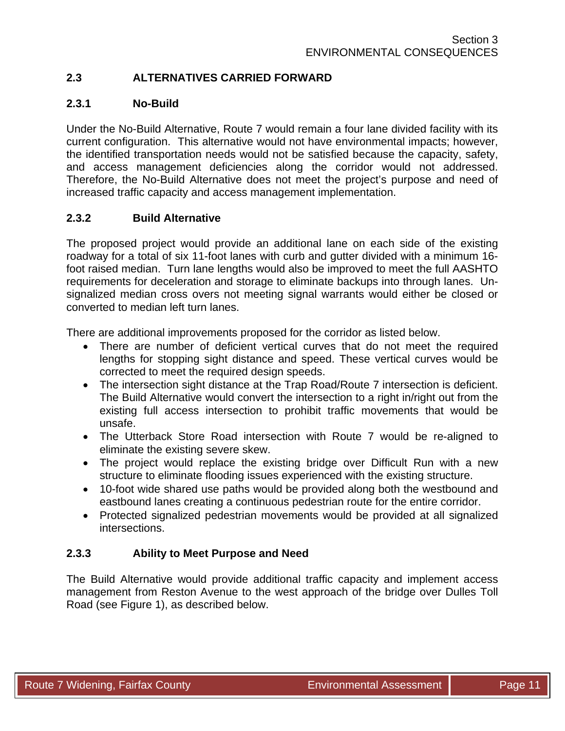# **2.3 ALTERNATIVES CARRIED FORWARD**

### **2.3.1 No-Build**

Under the No-Build Alternative, Route 7 would remain a four lane divided facility with its current configuration. This alternative would not have environmental impacts; however, the identified transportation needs would not be satisfied because the capacity, safety, and access management deficiencies along the corridor would not addressed. Therefore, the No-Build Alternative does not meet the project's purpose and need of increased traffic capacity and access management implementation.

#### **2.3.2 Build Alternative**

The proposed project would provide an additional lane on each side of the existing roadway for a total of six 11-foot lanes with curb and gutter divided with a minimum 16 foot raised median. Turn lane lengths would also be improved to meet the full AASHTO requirements for deceleration and storage to eliminate backups into through lanes. Unsignalized median cross overs not meeting signal warrants would either be closed or converted to median left turn lanes.

There are additional improvements proposed for the corridor as listed below.

- There are number of deficient vertical curves that do not meet the required lengths for stopping sight distance and speed. These vertical curves would be corrected to meet the required design speeds.
- The intersection sight distance at the Trap Road/Route 7 intersection is deficient. The Build Alternative would convert the intersection to a right in/right out from the existing full access intersection to prohibit traffic movements that would be unsafe.
- The Utterback Store Road intersection with Route 7 would be re-aligned to eliminate the existing severe skew.
- The project would replace the existing bridge over Difficult Run with a new structure to eliminate flooding issues experienced with the existing structure.
- 10-foot wide shared use paths would be provided along both the westbound and eastbound lanes creating a continuous pedestrian route for the entire corridor.
- Protected signalized pedestrian movements would be provided at all signalized intersections.

### **2.3.3 Ability to Meet Purpose and Need**

The Build Alternative would provide additional traffic capacity and implement access management from Reston Avenue to the west approach of the bridge over Dulles Toll Road (see Figure 1), as described below.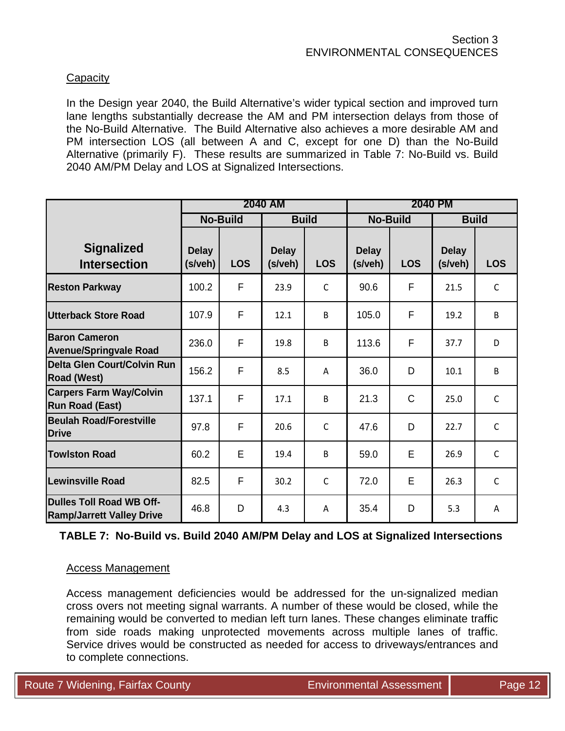### **Capacity**

In the Design year 2040, the Build Alternative's wider typical section and improved turn lane lengths substantially decrease the AM and PM intersection delays from those of the No-Build Alternative. The Build Alternative also achieves a more desirable AM and PM intersection LOS (all between A and C, except for one D) than the No-Build Alternative (primarily F). These results are summarized in Table 7: No-Build vs. Build 2040 AM/PM Delay and LOS at Signalized Intersections.

|                                                                     | <b>2040 AM</b>          |            |                         | <b>2040 PM</b> |                         |             |                         |              |
|---------------------------------------------------------------------|-------------------------|------------|-------------------------|----------------|-------------------------|-------------|-------------------------|--------------|
|                                                                     | <b>No-Build</b>         |            | <b>Build</b>            |                | <b>No-Build</b>         |             | <b>Build</b>            |              |
| <b>Signalized</b><br><b>Intersection</b>                            | <b>Delay</b><br>(s/veh) | <b>LOS</b> | <b>Delay</b><br>(s/veh) | <b>LOS</b>     | <b>Delay</b><br>(s/veh) | <b>LOS</b>  | <b>Delay</b><br>(s/veh) | <b>LOS</b>   |
| <b>Reston Parkway</b>                                               | 100.2                   | F          | 23.9                    | $\mathsf{C}$   | 90.6                    | F           | 21.5                    | $\mathsf{C}$ |
| <b>Utterback Store Road</b>                                         | 107.9                   | F          | 12.1                    | B              | 105.0                   | F           | 19.2                    | B            |
| <b>Baron Cameron</b><br><b>Avenue/Springvale Road</b>               | 236.0                   | F          | 19.8                    | B              | 113.6                   | F           | 37.7                    | D            |
| Delta Glen Court/Colvin Run<br><b>Road (West)</b>                   | 156.2                   | F          | 8.5                     | A              | 36.0                    | D           | 10.1                    | B            |
| <b>Carpers Farm Way/Colvin</b><br><b>Run Road (East)</b>            | 137.1                   | F          | 17.1                    | B              | 21.3                    | $\mathsf C$ | 25.0                    | $\mathsf{C}$ |
| <b>Beulah Road/Forestville</b><br><b>Drive</b>                      | 97.8                    | F          | 20.6                    | $\mathsf{C}$   | 47.6                    | D           | 22.7                    | $\mathsf{C}$ |
| <b>Towlston Road</b>                                                | 60.2                    | E          | 19.4                    | B              | 59.0                    | E           | 26.9                    | $\mathsf{C}$ |
| <b>Lewinsville Road</b>                                             | 82.5                    | F          | 30.2                    | $\mathsf{C}$   | 72.0                    | E           | 26.3                    | $\mathsf{C}$ |
| <b>Dulles Toll Road WB Off-</b><br><b>Ramp/Jarrett Valley Drive</b> | 46.8                    | D          | 4.3                     | A              | 35.4                    | D           | 5.3                     | A            |

**TABLE 7: No-Build vs. Build 2040 AM/PM Delay and LOS at Signalized Intersections** 

#### Access Management

Access management deficiencies would be addressed for the un-signalized median cross overs not meeting signal warrants. A number of these would be closed, while the remaining would be converted to median left turn lanes. These changes eliminate traffic from side roads making unprotected movements across multiple lanes of traffic. Service drives would be constructed as needed for access to driveways/entrances and to complete connections.

Route 7 Widening, Fairfax County **Environmental Assessment Page 12** According Page 12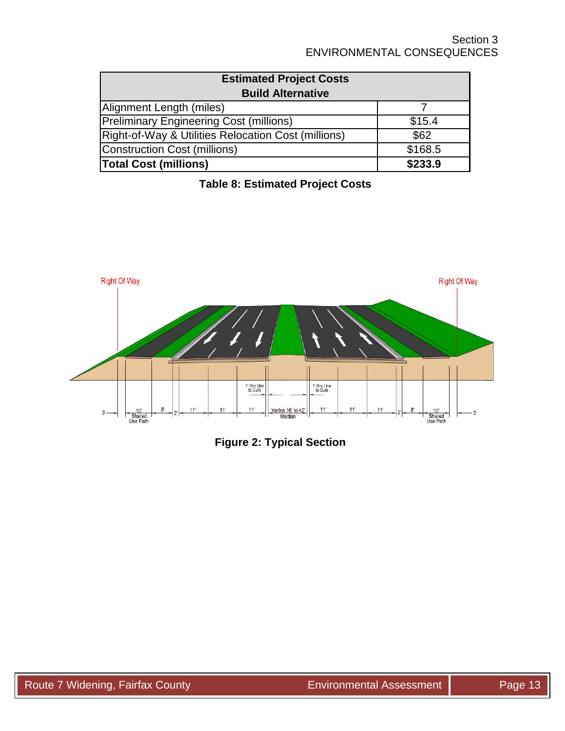| <b>Estimated Project Costs</b>                                 |         |
|----------------------------------------------------------------|---------|
| <b>Build Alternative</b>                                       |         |
| Alignment Length (miles)                                       |         |
| <b>Preliminary Engineering Cost (millions)</b>                 | \$15.4  |
| <b>Right-of-Way &amp; Utilities Relocation Cost (millions)</b> | \$62    |
| Construction Cost (millions)                                   | \$168.5 |
| <b>Total Cost (millions)</b>                                   | \$233.9 |



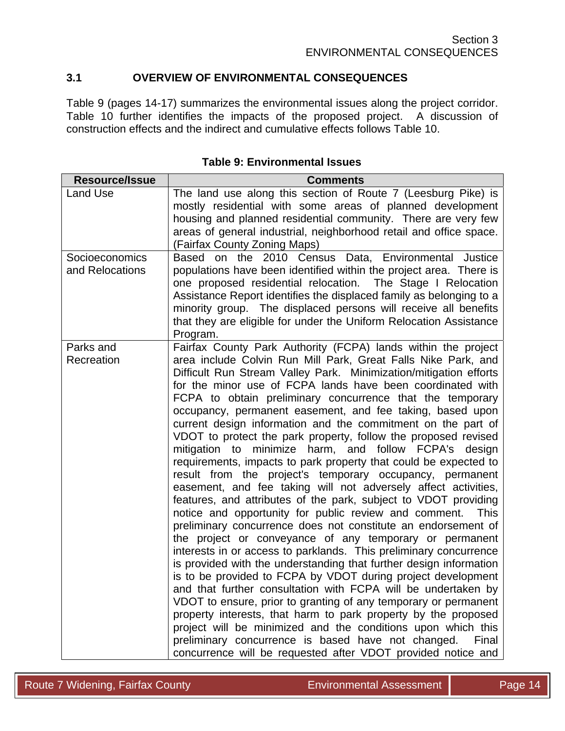# **3.1 OVERVIEW OF ENVIRONMENTAL CONSEQUENCES**

Table 9 (pages 14-17) summarizes the environmental issues along the project corridor. Table 10 further identifies the impacts of the proposed project. A discussion of construction effects and the indirect and cumulative effects follows Table 10.

| Resource/Issue                    | <b>Comments</b>                                                                                                                                                                                                                                                                                                                                                                                                                                                                                                                                                                                                                                                                                                                                                                                                                                                                                                                                                                                                                                                                                                                                                                                                                                                                                                                                                                                                                                                                                                                                                                                                                                                          |
|-----------------------------------|--------------------------------------------------------------------------------------------------------------------------------------------------------------------------------------------------------------------------------------------------------------------------------------------------------------------------------------------------------------------------------------------------------------------------------------------------------------------------------------------------------------------------------------------------------------------------------------------------------------------------------------------------------------------------------------------------------------------------------------------------------------------------------------------------------------------------------------------------------------------------------------------------------------------------------------------------------------------------------------------------------------------------------------------------------------------------------------------------------------------------------------------------------------------------------------------------------------------------------------------------------------------------------------------------------------------------------------------------------------------------------------------------------------------------------------------------------------------------------------------------------------------------------------------------------------------------------------------------------------------------------------------------------------------------|
| Land Use                          | The land use along this section of Route 7 (Leesburg Pike) is<br>mostly residential with some areas of planned development<br>housing and planned residential community. There are very few<br>areas of general industrial, neighborhood retail and office space.<br>(Fairfax County Zoning Maps)                                                                                                                                                                                                                                                                                                                                                                                                                                                                                                                                                                                                                                                                                                                                                                                                                                                                                                                                                                                                                                                                                                                                                                                                                                                                                                                                                                        |
| Socioeconomics<br>and Relocations | Based on the 2010 Census Data, Environmental Justice<br>populations have been identified within the project area. There is<br>one proposed residential relocation. The Stage I Relocation<br>Assistance Report identifies the displaced family as belonging to a<br>minority group. The displaced persons will receive all benefits<br>that they are eligible for under the Uniform Relocation Assistance<br>Program.                                                                                                                                                                                                                                                                                                                                                                                                                                                                                                                                                                                                                                                                                                                                                                                                                                                                                                                                                                                                                                                                                                                                                                                                                                                    |
| Parks and<br>Recreation           | Fairfax County Park Authority (FCPA) lands within the project<br>area include Colvin Run Mill Park, Great Falls Nike Park, and<br>Difficult Run Stream Valley Park. Minimization/mitigation efforts<br>for the minor use of FCPA lands have been coordinated with<br>FCPA to obtain preliminary concurrence that the temporary<br>occupancy, permanent easement, and fee taking, based upon<br>current design information and the commitment on the part of<br>VDOT to protect the park property, follow the proposed revised<br>mitigation to minimize harm, and follow FCPA's design<br>requirements, impacts to park property that could be expected to<br>result from the project's temporary occupancy, permanent<br>easement, and fee taking will not adversely affect activities,<br>features, and attributes of the park, subject to VDOT providing<br>notice and opportunity for public review and comment.<br>This<br>preliminary concurrence does not constitute an endorsement of<br>the project or conveyance of any temporary or permanent<br>interests in or access to parklands. This preliminary concurrence<br>is provided with the understanding that further design information<br>is to be provided to FCPA by VDOT during project development<br>and that further consultation with FCPA will be undertaken by<br>VDOT to ensure, prior to granting of any temporary or permanent<br>property interests, that harm to park property by the proposed<br>project will be minimized and the conditions upon which this<br>preliminary concurrence is based have not changed.<br>Final<br>concurrence will be requested after VDOT provided notice and |

#### **Table 9: Environmental Issues**

Route 7 Widening, Fairfax County **No. 2018** Environmental Assessment Page 14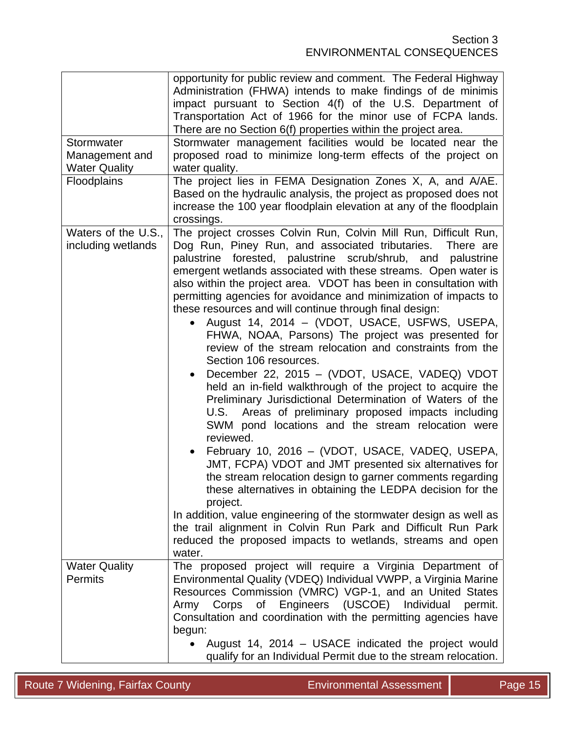| Stormwater<br>Management and<br><b>Water Quality</b><br>Floodplains | opportunity for public review and comment. The Federal Highway<br>Administration (FHWA) intends to make findings of de minimis<br>impact pursuant to Section 4(f) of the U.S. Department of<br>Transportation Act of 1966 for the minor use of FCPA lands.<br>There are no Section 6(f) properties within the project area.<br>Stormwater management facilities would be located near the<br>proposed road to minimize long-term effects of the project on<br>water quality.<br>The project lies in FEMA Designation Zones X, A, and A/AE.<br>Based on the hydraulic analysis, the project as proposed does not<br>increase the 100 year floodplain elevation at any of the floodplain<br>crossings.                                                                                                                                                                                                                                                                                                                                                                                                                                                                                                                                                                                                                                                                                                                                      |
|---------------------------------------------------------------------|-------------------------------------------------------------------------------------------------------------------------------------------------------------------------------------------------------------------------------------------------------------------------------------------------------------------------------------------------------------------------------------------------------------------------------------------------------------------------------------------------------------------------------------------------------------------------------------------------------------------------------------------------------------------------------------------------------------------------------------------------------------------------------------------------------------------------------------------------------------------------------------------------------------------------------------------------------------------------------------------------------------------------------------------------------------------------------------------------------------------------------------------------------------------------------------------------------------------------------------------------------------------------------------------------------------------------------------------------------------------------------------------------------------------------------------------|
| Waters of the U.S.,<br>including wetlands                           | The project crosses Colvin Run, Colvin Mill Run, Difficult Run,<br>Dog Run, Piney Run, and associated tributaries.<br>There are<br>palustrine forested, palustrine scrub/shrub, and palustrine<br>emergent wetlands associated with these streams. Open water is<br>also within the project area. VDOT has been in consultation with<br>permitting agencies for avoidance and minimization of impacts to<br>these resources and will continue through final design:<br>August 14, 2014 - (VDOT, USACE, USFWS, USEPA,<br>FHWA, NOAA, Parsons) The project was presented for<br>review of the stream relocation and constraints from the<br>Section 106 resources.<br>December 22, 2015 - (VDOT, USACE, VADEQ) VDOT<br>held an in-field walkthrough of the project to acquire the<br>Preliminary Jurisdictional Determination of Waters of the<br>U.S. Areas of preliminary proposed impacts including<br>SWM pond locations and the stream relocation were<br>reviewed.<br>February 10, 2016 - (VDOT, USACE, VADEQ, USEPA,<br>JMT, FCPA) VDOT and JMT presented six alternatives for<br>the stream relocation design to garner comments regarding<br>these alternatives in obtaining the LEDPA decision for the<br>project.<br>In addition, value engineering of the stormwater design as well as<br>the trail alignment in Colvin Run Park and Difficult Run Park<br>reduced the proposed impacts to wetlands, streams and open<br>water. |
| <b>Water Quality</b><br><b>Permits</b>                              | The proposed project will require a Virginia Department of<br>Environmental Quality (VDEQ) Individual VWPP, a Virginia Marine<br>Resources Commission (VMRC) VGP-1, and an United States<br>Army Corps of Engineers (USCOE) Individual<br>permit.<br>Consultation and coordination with the permitting agencies have<br>begun:<br>August 14, 2014 - USACE indicated the project would<br>$\bullet$<br>qualify for an Individual Permit due to the stream relocation.                                                                                                                                                                                                                                                                                                                                                                                                                                                                                                                                                                                                                                                                                                                                                                                                                                                                                                                                                                      |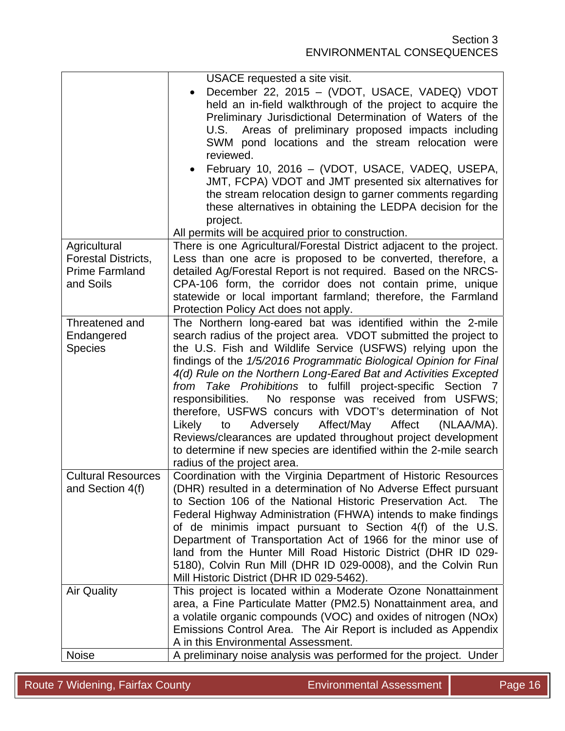|                                                                           | USACE requested a site visit.                                                                                                                                                                                                                                                                                                                                                                                                                                                                                                                                                                                                                                                                                                                                           |
|---------------------------------------------------------------------------|-------------------------------------------------------------------------------------------------------------------------------------------------------------------------------------------------------------------------------------------------------------------------------------------------------------------------------------------------------------------------------------------------------------------------------------------------------------------------------------------------------------------------------------------------------------------------------------------------------------------------------------------------------------------------------------------------------------------------------------------------------------------------|
|                                                                           | December 22, 2015 - (VDOT, USACE, VADEQ) VDOT<br>held an in-field walkthrough of the project to acquire the<br>Preliminary Jurisdictional Determination of Waters of the<br>Areas of preliminary proposed impacts including<br>U.S.<br>SWM pond locations and the stream relocation were<br>reviewed.                                                                                                                                                                                                                                                                                                                                                                                                                                                                   |
|                                                                           | February 10, 2016 - (VDOT, USACE, VADEQ, USEPA,<br>JMT, FCPA) VDOT and JMT presented six alternatives for<br>the stream relocation design to garner comments regarding<br>these alternatives in obtaining the LEDPA decision for the<br>project.                                                                                                                                                                                                                                                                                                                                                                                                                                                                                                                        |
|                                                                           | All permits will be acquired prior to construction.                                                                                                                                                                                                                                                                                                                                                                                                                                                                                                                                                                                                                                                                                                                     |
| Agricultural<br>Forestal Districts,<br><b>Prime Farmland</b><br>and Soils | There is one Agricultural/Forestal District adjacent to the project.<br>Less than one acre is proposed to be converted, therefore, a<br>detailed Ag/Forestal Report is not required. Based on the NRCS-<br>CPA-106 form, the corridor does not contain prime, unique<br>statewide or local important farmland; therefore, the Farmland<br>Protection Policy Act does not apply.                                                                                                                                                                                                                                                                                                                                                                                         |
| Threatened and<br>Endangered<br><b>Species</b>                            | The Northern long-eared bat was identified within the 2-mile<br>search radius of the project area. VDOT submitted the project to<br>the U.S. Fish and Wildlife Service (USFWS) relying upon the<br>findings of the 1/5/2016 Programmatic Biological Opinion for Final<br>4(d) Rule on the Northern Long-Eared Bat and Activities Excepted<br>from Take Prohibitions to fulfill project-specific Section 7<br>No response was received from USFWS;<br>responsibilities.<br>therefore, USFWS concurs with VDOT's determination of Not<br>Adversely Affect/May Affect<br>(NLAA/MA).<br>Likely<br>to<br>Reviews/clearances are updated throughout project development<br>to determine if new species are identified within the 2-mile search<br>radius of the project area. |
| <b>Cultural Resources</b><br>and Section 4(f)                             | Coordination with the Virginia Department of Historic Resources<br>(DHR) resulted in a determination of No Adverse Effect pursuant<br>to Section 106 of the National Historic Preservation Act.<br><b>The</b><br>Federal Highway Administration (FHWA) intends to make findings<br>of de minimis impact pursuant to Section 4(f) of the U.S.<br>Department of Transportation Act of 1966 for the minor use of<br>land from the Hunter Mill Road Historic District (DHR ID 029-<br>5180), Colvin Run Mill (DHR ID 029-0008), and the Colvin Run<br>Mill Historic District (DHR ID 029-5462).                                                                                                                                                                             |
| <b>Air Quality</b>                                                        | This project is located within a Moderate Ozone Nonattainment<br>area, a Fine Particulate Matter (PM2.5) Nonattainment area, and<br>a volatile organic compounds (VOC) and oxides of nitrogen (NOx)<br>Emissions Control Area. The Air Report is included as Appendix<br>A in this Environmental Assessment.                                                                                                                                                                                                                                                                                                                                                                                                                                                            |
| <b>Noise</b>                                                              | A preliminary noise analysis was performed for the project. Under                                                                                                                                                                                                                                                                                                                                                                                                                                                                                                                                                                                                                                                                                                       |

Route 7 Widening, Fairfax County **Environmental Assessment** Page 16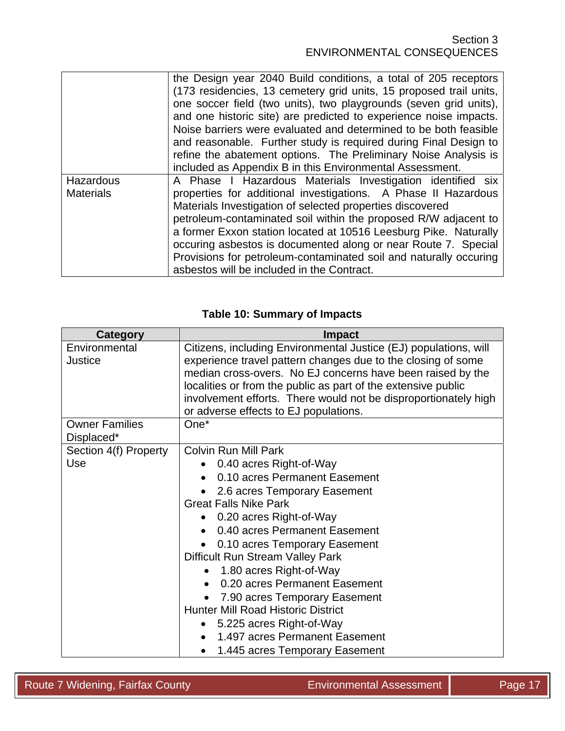|                               | the Design year 2040 Build conditions, a total of 205 receptors<br>(173 residencies, 13 cemetery grid units, 15 proposed trail units,<br>one soccer field (two units), two playgrounds (seven grid units),<br>and one historic site) are predicted to experience noise impacts.<br>Noise barriers were evaluated and determined to be both feasible<br>and reasonable. Further study is required during Final Design to                                                                                               |
|-------------------------------|-----------------------------------------------------------------------------------------------------------------------------------------------------------------------------------------------------------------------------------------------------------------------------------------------------------------------------------------------------------------------------------------------------------------------------------------------------------------------------------------------------------------------|
|                               | refine the abatement options. The Preliminary Noise Analysis is<br>included as Appendix B in this Environmental Assessment.                                                                                                                                                                                                                                                                                                                                                                                           |
| Hazardous<br><b>Materials</b> | A Phase I Hazardous Materials Investigation identified six<br>properties for additional investigations. A Phase II Hazardous<br>Materials Investigation of selected properties discovered<br>petroleum-contaminated soil within the proposed R/W adjacent to<br>a former Exxon station located at 10516 Leesburg Pike. Naturally<br>occuring asbestos is documented along or near Route 7. Special<br>Provisions for petroleum-contaminated soil and naturally occuring<br>asbestos will be included in the Contract. |

## **Table 10: Summary of Impacts**

| <b>Category</b>       | <b>Impact</b>                                                    |  |  |  |  |
|-----------------------|------------------------------------------------------------------|--|--|--|--|
| Environmental         | Citizens, including Environmental Justice (EJ) populations, will |  |  |  |  |
| Justice               | experience travel pattern changes due to the closing of some     |  |  |  |  |
|                       | median cross-overs. No EJ concerns have been raised by the       |  |  |  |  |
|                       | localities or from the public as part of the extensive public    |  |  |  |  |
|                       | involvement efforts. There would not be disproportionately high  |  |  |  |  |
|                       | or adverse effects to EJ populations.                            |  |  |  |  |
| <b>Owner Families</b> | $One*$                                                           |  |  |  |  |
| Displaced*            |                                                                  |  |  |  |  |
| Section 4(f) Property | <b>Colvin Run Mill Park</b>                                      |  |  |  |  |
| Use                   | 0.40 acres Right-of-Way                                          |  |  |  |  |
|                       | 0.10 acres Permanent Easement                                    |  |  |  |  |
|                       | 2.6 acres Temporary Easement                                     |  |  |  |  |
|                       | <b>Great Falls Nike Park</b>                                     |  |  |  |  |
|                       | • 0.20 acres Right-of-Way                                        |  |  |  |  |
|                       | 0.40 acres Permanent Easement                                    |  |  |  |  |
|                       | 0.10 acres Temporary Easement                                    |  |  |  |  |
|                       | Difficult Run Stream Valley Park                                 |  |  |  |  |
|                       | 1.80 acres Right-of-Way                                          |  |  |  |  |
|                       | 0.20 acres Permanent Easement                                    |  |  |  |  |
|                       | 7.90 acres Temporary Easement                                    |  |  |  |  |
|                       | <b>Hunter Mill Road Historic District</b>                        |  |  |  |  |
|                       | • 5.225 acres Right-of-Way                                       |  |  |  |  |
|                       | 1.497 acres Permanent Easement<br>$\bullet$                      |  |  |  |  |
|                       | 1.445 acres Temporary Easement<br>$\bullet$                      |  |  |  |  |

Route 7 Widening, Fairfax County **Environmental Assessment** Page 17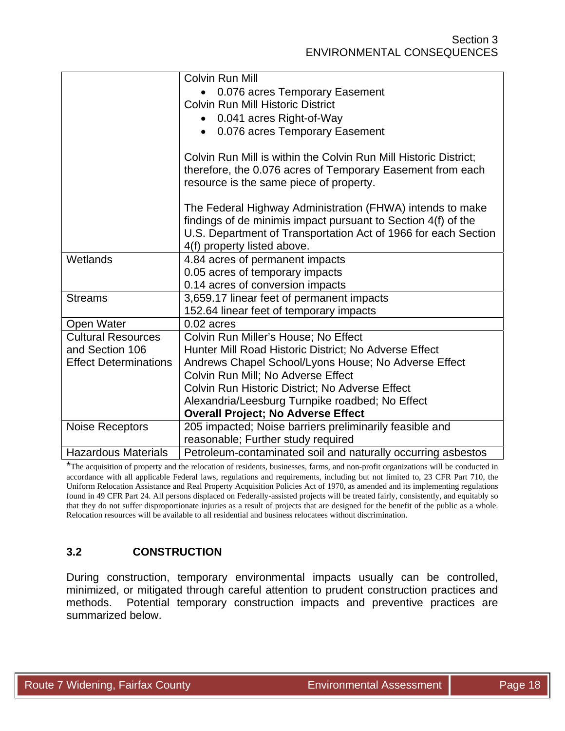|                              | Colvin Run Mill                                                  |
|------------------------------|------------------------------------------------------------------|
|                              | 0.076 acres Temporary Easement                                   |
|                              | <b>Colvin Run Mill Historic District</b>                         |
|                              | • 0.041 acres Right-of-Way                                       |
|                              | • 0.076 acres Temporary Easement                                 |
|                              |                                                                  |
|                              | Colvin Run Mill is within the Colvin Run Mill Historic District; |
|                              | therefore, the 0.076 acres of Temporary Easement from each       |
|                              | resource is the same piece of property.                          |
|                              |                                                                  |
|                              | The Federal Highway Administration (FHWA) intends to make        |
|                              | findings of de minimis impact pursuant to Section 4(f) of the    |
|                              | U.S. Department of Transportation Act of 1966 for each Section   |
|                              | 4(f) property listed above.                                      |
| Wetlands                     | 4.84 acres of permanent impacts                                  |
|                              | 0.05 acres of temporary impacts                                  |
|                              | 0.14 acres of conversion impacts                                 |
| <b>Streams</b>               | 3,659.17 linear feet of permanent impacts                        |
|                              | 152.64 linear feet of temporary impacts                          |
| Open Water                   | $0.02$ acres                                                     |
| <b>Cultural Resources</b>    | Colvin Run Miller's House; No Effect                             |
| and Section 106              | Hunter Mill Road Historic District; No Adverse Effect            |
| <b>Effect Determinations</b> | Andrews Chapel School/Lyons House; No Adverse Effect             |
|                              | Colvin Run Mill; No Adverse Effect                               |
|                              | Colvin Run Historic District; No Adverse Effect                  |
|                              | Alexandria/Leesburg Turnpike roadbed; No Effect                  |
|                              | <b>Overall Project; No Adverse Effect</b>                        |
| <b>Noise Receptors</b>       | 205 impacted; Noise barriers preliminarily feasible and          |
|                              | reasonable; Further study required                               |
| <b>Hazardous Materials</b>   | Petroleum-contaminated soil and naturally occurring asbestos     |

\*The acquisition of property and the relocation of residents, businesses, farms, and non-profit organizations will be conducted in accordance with all applicable Federal laws, regulations and requirements, including but not limited to, 23 CFR Part 710, the Uniform Relocation Assistance and Real Property Acquisition Policies Act of 1970, as amended and its implementing regulations found in 49 CFR Part 24. All persons displaced on Federally-assisted projects will be treated fairly, consistently, and equitably so that they do not suffer disproportionate injuries as a result of projects that are designed for the benefit of the public as a whole. Relocation resources will be available to all residential and business relocatees without discrimination.

# **3.2 CONSTRUCTION**

During construction, temporary environmental impacts usually can be controlled, minimized, or mitigated through careful attention to prudent construction practices and methods. Potential temporary construction impacts and preventive practices are summarized below.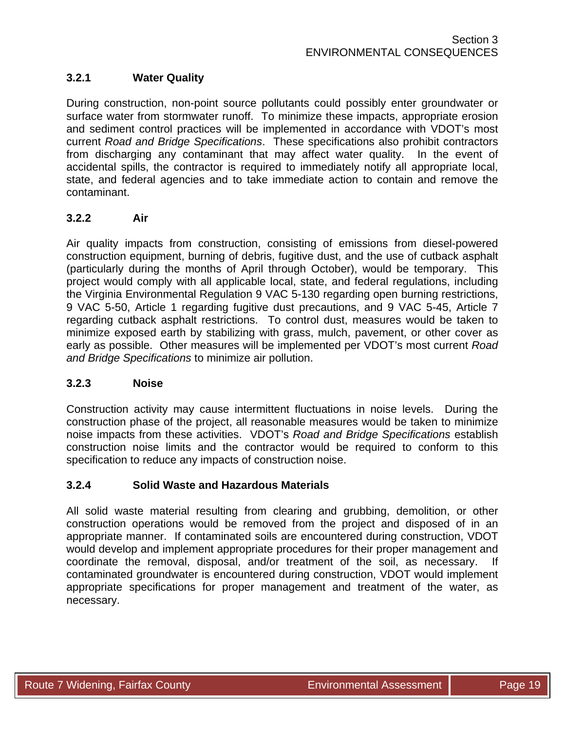# **3.2.1 Water Quality**

During construction, non-point source pollutants could possibly enter groundwater or surface water from stormwater runoff. To minimize these impacts, appropriate erosion and sediment control practices will be implemented in accordance with VDOT's most current *Road and Bridge Specifications*. These specifications also prohibit contractors from discharging any contaminant that may affect water quality. In the event of accidental spills, the contractor is required to immediately notify all appropriate local, state, and federal agencies and to take immediate action to contain and remove the contaminant.

### **3.2.2 Air**

Air quality impacts from construction, consisting of emissions from diesel-powered construction equipment, burning of debris, fugitive dust, and the use of cutback asphalt (particularly during the months of April through October), would be temporary. This project would comply with all applicable local, state, and federal regulations, including the Virginia Environmental Regulation 9 VAC 5-130 regarding open burning restrictions, 9 VAC 5-50, Article 1 regarding fugitive dust precautions, and 9 VAC 5-45, Article 7 regarding cutback asphalt restrictions. To control dust, measures would be taken to minimize exposed earth by stabilizing with grass, mulch, pavement, or other cover as early as possible. Other measures will be implemented per VDOT's most current *Road and Bridge Specifications* to minimize air pollution.

#### **3.2.3 Noise**

Construction activity may cause intermittent fluctuations in noise levels. During the construction phase of the project, all reasonable measures would be taken to minimize noise impacts from these activities. VDOT's *Road and Bridge Specifications* establish construction noise limits and the contractor would be required to conform to this specification to reduce any impacts of construction noise.

#### **3.2.4 Solid Waste and Hazardous Materials**

All solid waste material resulting from clearing and grubbing, demolition, or other construction operations would be removed from the project and disposed of in an appropriate manner. If contaminated soils are encountered during construction, VDOT would develop and implement appropriate procedures for their proper management and coordinate the removal, disposal, and/or treatment of the soil, as necessary. If contaminated groundwater is encountered during construction, VDOT would implement appropriate specifications for proper management and treatment of the water, as necessary.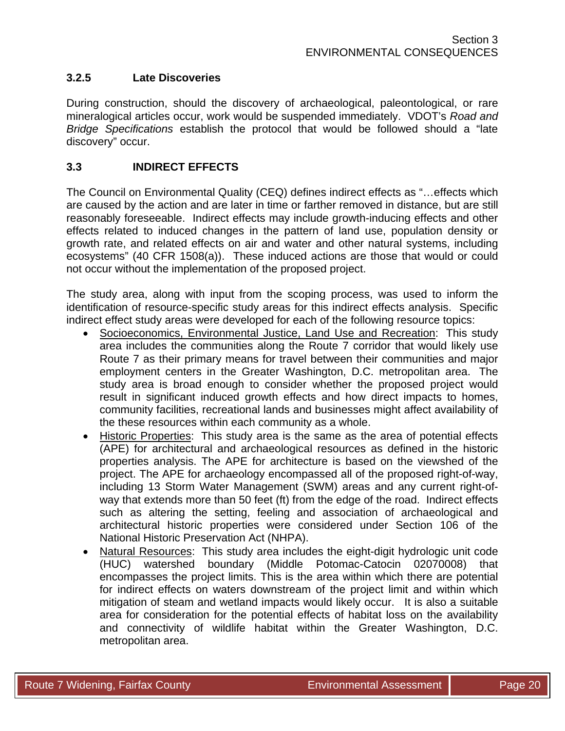### **3.2.5 Late Discoveries**

During construction, should the discovery of archaeological, paleontological, or rare mineralogical articles occur, work would be suspended immediately. VDOT's *Road and Bridge Specifications* establish the protocol that would be followed should a "late discovery" occur.

### **3.3 INDIRECT EFFECTS**

The Council on Environmental Quality (CEQ) defines indirect effects as "…effects which are caused by the action and are later in time or farther removed in distance, but are still reasonably foreseeable. Indirect effects may include growth-inducing effects and other effects related to induced changes in the pattern of land use, population density or growth rate, and related effects on air and water and other natural systems, including ecosystems" (40 CFR 1508(a)). These induced actions are those that would or could not occur without the implementation of the proposed project.

The study area, along with input from the scoping process, was used to inform the identification of resource-specific study areas for this indirect effects analysis. Specific indirect effect study areas were developed for each of the following resource topics:

- Socioeconomics, Environmental Justice, Land Use and Recreation: This study area includes the communities along the Route 7 corridor that would likely use Route 7 as their primary means for travel between their communities and major employment centers in the Greater Washington, D.C. metropolitan area. The study area is broad enough to consider whether the proposed project would result in significant induced growth effects and how direct impacts to homes, community facilities, recreational lands and businesses might affect availability of the these resources within each community as a whole.
- Historic Properties: This study area is the same as the area of potential effects (APE) for architectural and archaeological resources as defined in the historic properties analysis. The APE for architecture is based on the viewshed of the project. The APE for archaeology encompassed all of the proposed right-of-way, including 13 Storm Water Management (SWM) areas and any current right-ofway that extends more than 50 feet (ft) from the edge of the road. Indirect effects such as altering the setting, feeling and association of archaeological and architectural historic properties were considered under Section 106 of the National Historic Preservation Act (NHPA).
- Natural Resources: This study area includes the eight-digit hydrologic unit code (HUC) watershed boundary (Middle Potomac-Catocin 02070008) that encompasses the project limits. This is the area within which there are potential for indirect effects on waters downstream of the project limit and within which mitigation of steam and wetland impacts would likely occur. It is also a suitable area for consideration for the potential effects of habitat loss on the availability and connectivity of wildlife habitat within the Greater Washington, D.C. metropolitan area.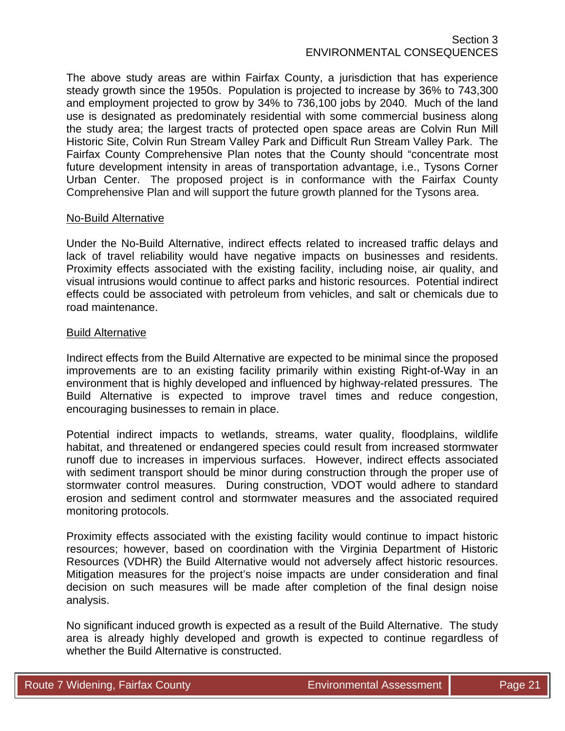The above study areas are within Fairfax County, a jurisdiction that has experience steady growth since the 1950s. Population is projected to increase by 36% to 743,300 and employment projected to grow by 34% to 736,100 jobs by 2040. Much of the land use is designated as predominately residential with some commercial business along the study area; the largest tracts of protected open space areas are Colvin Run Mill Historic Site, Colvin Run Stream Valley Park and Difficult Run Stream Valley Park. The Fairfax County Comprehensive Plan notes that the County should "concentrate most future development intensity in areas of transportation advantage, i.e., Tysons Corner Urban Center. The proposed project is in conformance with the Fairfax County Comprehensive Plan and will support the future growth planned for the Tysons area.

#### No-Build Alternative

Under the No-Build Alternative, indirect effects related to increased traffic delays and lack of travel reliability would have negative impacts on businesses and residents. Proximity effects associated with the existing facility, including noise, air quality, and visual intrusions would continue to affect parks and historic resources. Potential indirect effects could be associated with petroleum from vehicles, and salt or chemicals due to road maintenance.

#### Build Alternative

Indirect effects from the Build Alternative are expected to be minimal since the proposed improvements are to an existing facility primarily within existing Right-of-Way in an environment that is highly developed and influenced by highway-related pressures. The Build Alternative is expected to improve travel times and reduce congestion, encouraging businesses to remain in place.

Potential indirect impacts to wetlands, streams, water quality, floodplains, wildlife habitat, and threatened or endangered species could result from increased stormwater runoff due to increases in impervious surfaces. However, indirect effects associated with sediment transport should be minor during construction through the proper use of stormwater control measures. During construction, VDOT would adhere to standard erosion and sediment control and stormwater measures and the associated required monitoring protocols.

Proximity effects associated with the existing facility would continue to impact historic resources; however, based on coordination with the Virginia Department of Historic Resources (VDHR) the Build Alternative would not adversely affect historic resources. Mitigation measures for the project's noise impacts are under consideration and final decision on such measures will be made after completion of the final design noise analysis.

No significant induced growth is expected as a result of the Build Alternative. The study area is already highly developed and growth is expected to continue regardless of whether the Build Alternative is constructed.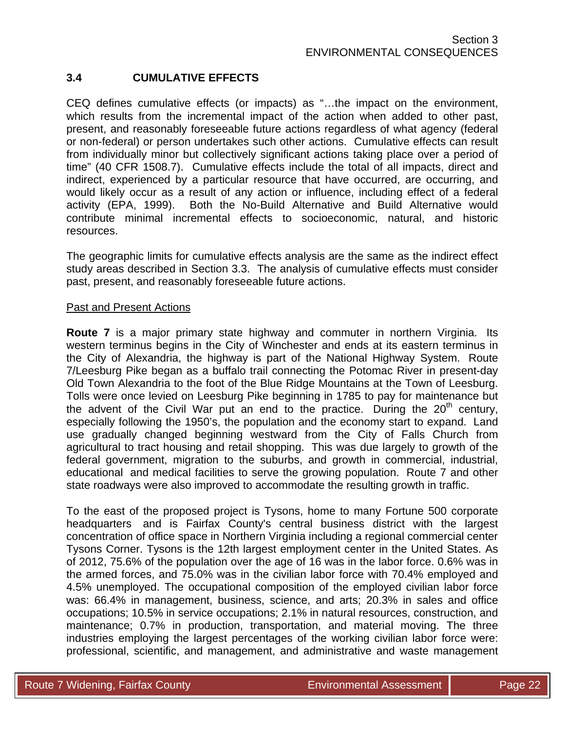# **3.4 CUMULATIVE EFFECTS**

CEQ defines cumulative effects (or impacts) as "…the impact on the environment, which results from the incremental impact of the action when added to other past, present, and reasonably foreseeable future actions regardless of what agency (federal or non-federal) or person undertakes such other actions. Cumulative effects can result from individually minor but collectively significant actions taking place over a period of time" (40 CFR 1508.7). Cumulative effects include the total of all impacts, direct and indirect, experienced by a particular resource that have occurred, are occurring, and would likely occur as a result of any action or influence, including effect of a federal activity (EPA, 1999). Both the No-Build Alternative and Build Alternative would contribute minimal incremental effects to socioeconomic, natural, and historic resources.

The geographic limits for cumulative effects analysis are the same as the indirect effect study areas described in Section 3.3. The analysis of cumulative effects must consider past, present, and reasonably foreseeable future actions.

#### Past and Present Actions

**Route 7** is a major primary state highway and commuter in northern Virginia. Its western terminus begins in the City of Winchester and ends at its eastern terminus in the City of Alexandria, the highway is part of the National Highway System. Route 7/Leesburg Pike began as a buffalo trail connecting the Potomac River in present-day Old Town Alexandria to the foot of the Blue Ridge Mountains at the Town of Leesburg. Tolls were once levied on Leesburg Pike beginning in 1785 to pay for maintenance but the advent of the Civil War put an end to the practice. During the  $20<sup>th</sup>$  century, especially following the 1950's, the population and the economy start to expand. Land use gradually changed beginning westward from the City of Falls Church from agricultural to tract housing and retail shopping. This was due largely to growth of the federal government, migration to the suburbs, and growth in commercial, industrial, educational and medical facilities to serve the growing population. Route 7 and other state roadways were also improved to accommodate the resulting growth in traffic.

To the east of the proposed project is Tysons, home to many Fortune 500 corporate headquarters and is Fairfax County's central business district with the largest concentration of office space in Northern Virginia including a regional commercial center Tysons Corner. Tysons is the 12th largest employment center in the United States. As of 2012, 75.6% of the population over the age of 16 was in the labor force. 0.6% was in the armed forces, and 75.0% was in the civilian labor force with 70.4% employed and 4.5% unemployed. The occupational composition of the employed civilian labor force was: 66.4% in management, business, science, and arts; 20.3% in sales and office occupations; 10.5% in service occupations; 2.1% in natural resources, construction, and maintenance; 0.7% in production, transportation, and material moving. The three industries employing the largest percentages of the working civilian labor force were: professional, scientific, and management, and administrative and waste management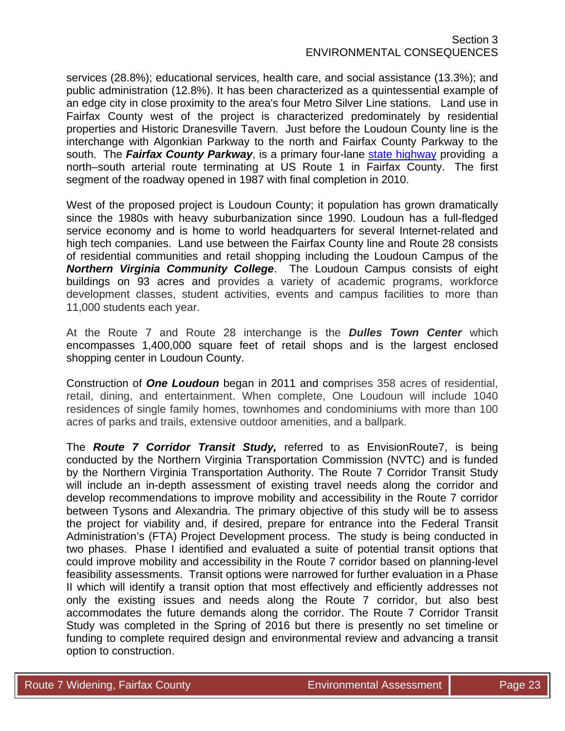services (28.8%); educational services, health care, and social assistance (13.3%); and public administration (12.8%). It has been characterized as a quintessential example of an edge city in close proximity to the area's four Metro Silver Line stations. Land use in Fairfax County west of the project is characterized predominately by residential properties and Historic Dranesville Tavern. Just before the Loudoun County line is the interchange with Algonkian Parkway to the north and Fairfax County Parkway to the south. The *Fairfax County Parkway*, is a primary four-lane state highway providing a north–south arterial route terminating at US Route 1 in Fairfax County. The first segment of the roadway opened in 1987 with final completion in 2010.

West of the proposed project is Loudoun County; it population has grown dramatically since the 1980s with heavy suburbanization since 1990. Loudoun has a full-fledged service economy and is home to world headquarters for several Internet-related and high tech companies. Land use between the Fairfax County line and Route 28 consists of residential communities and retail shopping including the Loudoun Campus of the *Northern Virginia Community College*. The Loudoun Campus consists of eight buildings on 93 acres and provides a variety of academic programs, workforce development classes, student activities, events and campus facilities to more than 11,000 students each year.

At the Route 7 and Route 28 interchange is the *Dulles Town Center* which encompasses 1,400,000 square feet of retail shops and is the largest enclosed shopping center in Loudoun County.

Construction of *One Loudoun* began in 2011 and comprises 358 acres of residential, retail, dining, and entertainment. When complete, One Loudoun will include 1040 residences of single family homes, townhomes and condominiums with more than 100 acres of parks and trails, extensive outdoor amenities, and a ballpark.

The *Route 7 Corridor Transit Study,* referred to as EnvisionRoute7, is being conducted by the Northern Virginia Transportation Commission (NVTC) and is funded by the Northern Virginia Transportation Authority. The Route 7 Corridor Transit Study will include an in-depth assessment of existing travel needs along the corridor and develop recommendations to improve mobility and accessibility in the Route 7 corridor between Tysons and Alexandria. The primary objective of this study will be to assess the project for viability and, if desired, prepare for entrance into the Federal Transit Administration's (FTA) Project Development process. The study is being conducted in two phases. Phase I identified and evaluated a suite of potential transit options that could improve mobility and accessibility in the Route 7 corridor based on planning-level feasibility assessments. Transit options were narrowed for further evaluation in a Phase II which will identify a transit option that most effectively and efficiently addresses not only the existing issues and needs along the Route 7 corridor, but also best accommodates the future demands along the corridor. The Route 7 Corridor Transit Study was completed in the Spring of 2016 but there is presently no set timeline or funding to complete required design and environmental review and advancing a transit option to construction.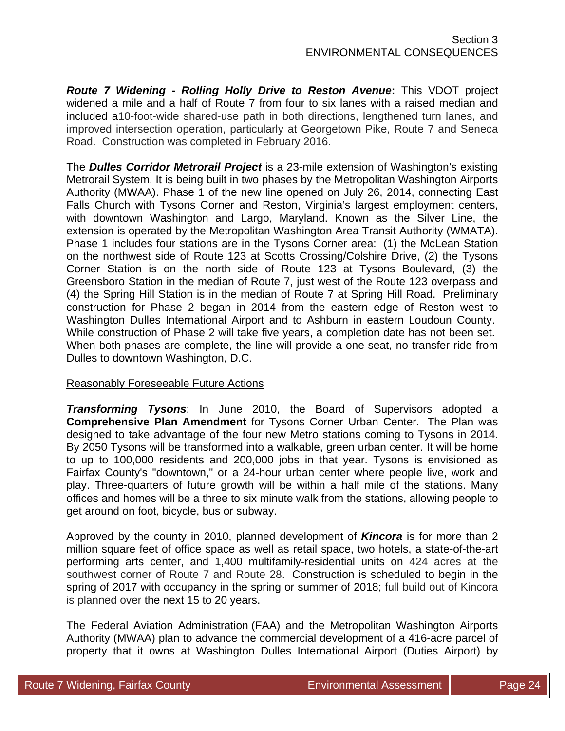*Route 7 Widening - Rolling Holly Drive to Reston Avenue***:** This VDOT project widened a mile and a half of Route 7 from four to six lanes with a raised median and included a10-foot-wide shared-use path in both directions, lengthened turn lanes, and improved intersection operation, particularly at Georgetown Pike, Route 7 and Seneca Road. Construction was completed in February 2016.

The *Dulles Corridor Metrorail Project* is a 23-mile extension of Washington's existing Metrorail System. It is being built in two phases by the Metropolitan Washington Airports Authority (MWAA). Phase 1 of the new line opened on July 26, 2014, connecting East Falls Church with Tysons Corner and Reston, Virginia's largest employment centers, with downtown Washington and Largo, Maryland. Known as the Silver Line, the extension is operated by the Metropolitan Washington Area Transit Authority (WMATA). Phase 1 includes four stations are in the Tysons Corner area: (1) the McLean Station on the northwest side of Route 123 at Scotts Crossing/Colshire Drive, (2) the Tysons Corner Station is on the north side of Route 123 at Tysons Boulevard, (3) the Greensboro Station in the median of Route 7, just west of the Route 123 overpass and (4) the Spring Hill Station is in the median of Route 7 at Spring Hill Road. Preliminary construction for Phase 2 began in 2014 from the eastern edge of Reston west to Washington Dulles International Airport and to Ashburn in eastern Loudoun County. While construction of Phase 2 will take five years, a completion date has not been set. When both phases are complete, the line will provide a one-seat, no transfer ride from Dulles to downtown Washington, D.C.

#### Reasonably Foreseeable Future Actions

*Transforming Tysons*: In June 2010, the Board of Supervisors adopted a **Comprehensive Plan Amendment** for Tysons Corner Urban Center. The Plan was designed to take advantage of the four new Metro stations coming to Tysons in 2014. By 2050 Tysons will be transformed into a walkable, green urban center. It will be home to up to 100,000 residents and 200,000 jobs in that year. Tysons is envisioned as Fairfax County's "downtown," or a 24-hour urban center where people live, work and play. Three-quarters of future growth will be within a half mile of the stations. Many offices and homes will be a three to six minute walk from the stations, allowing people to get around on foot, bicycle, bus or subway.

Approved by the county in 2010, planned development of *Kincora* is for more than 2 million square feet of office space as well as retail space, two hotels, a state-of-the-art performing arts center, and 1,400 multifamily-residential units on 424 acres at the southwest corner of Route 7 and Route 28. Construction is scheduled to begin in the spring of 2017 with occupancy in the spring or summer of 2018; full build out of Kincora is planned over the next 15 to 20 years.

The Federal Aviation Administration (FAA) and the Metropolitan Washington Airports Authority (MWAA) plan to advance the commercial development of a 416-acre parcel of property that it owns at Washington Dulles International Airport (Duties Airport) by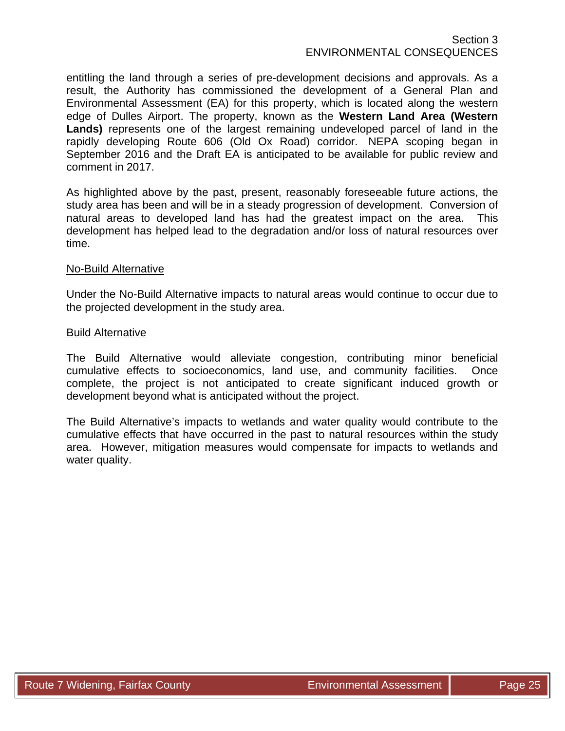entitling the land through a series of pre-development decisions and approvals. As a result, the Authority has commissioned the development of a General Plan and Environmental Assessment (EA) for this property, which is located along the western edge of Dulles Airport. The property, known as the **Western Land Area (Western Lands)** represents one of the largest remaining undeveloped parcel of land in the rapidly developing Route 606 (Old Ox Road) corridor. NEPA scoping began in September 2016 and the Draft EA is anticipated to be available for public review and comment in 2017.

As highlighted above by the past, present, reasonably foreseeable future actions, the study area has been and will be in a steady progression of development. Conversion of natural areas to developed land has had the greatest impact on the area. This development has helped lead to the degradation and/or loss of natural resources over time.

#### No-Build Alternative

Under the No-Build Alternative impacts to natural areas would continue to occur due to the projected development in the study area.

#### Build Alternative

The Build Alternative would alleviate congestion, contributing minor beneficial cumulative effects to socioeconomics, land use, and community facilities. Once complete, the project is not anticipated to create significant induced growth or development beyond what is anticipated without the project.

The Build Alternative's impacts to wetlands and water quality would contribute to the cumulative effects that have occurred in the past to natural resources within the study area. However, mitigation measures would compensate for impacts to wetlands and water quality.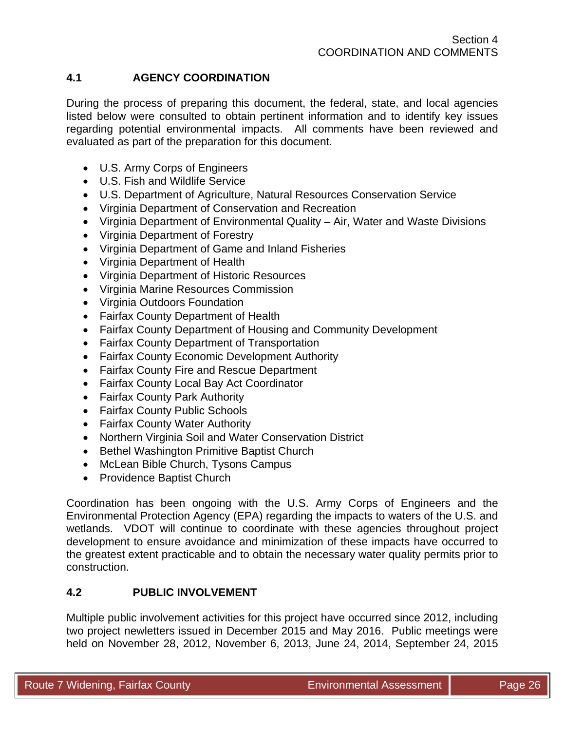# **4.1 AGENCY COORDINATION**

During the process of preparing this document, the federal, state, and local agencies listed below were consulted to obtain pertinent information and to identify key issues regarding potential environmental impacts. All comments have been reviewed and evaluated as part of the preparation for this document.

- U.S. Army Corps of Engineers
- U.S. Fish and Wildlife Service
- U.S. Department of Agriculture, Natural Resources Conservation Service
- Virginia Department of Conservation and Recreation
- Virginia Department of Environmental Quality Air, Water and Waste Divisions
- Virginia Department of Forestry
- Virginia Department of Game and Inland Fisheries
- Virginia Department of Health
- Virginia Department of Historic Resources
- Virginia Marine Resources Commission
- Virginia Outdoors Foundation
- Fairfax County Department of Health
- Fairfax County Department of Housing and Community Development
- Fairfax County Department of Transportation
- Fairfax County Economic Development Authority
- Fairfax County Fire and Rescue Department
- Fairfax County Local Bay Act Coordinator
- Fairfax County Park Authority
- Fairfax County Public Schools
- Fairfax County Water Authority
- Northern Virginia Soil and Water Conservation District
- Bethel Washington Primitive Baptist Church
- McLean Bible Church, Tysons Campus
- Providence Baptist Church

Coordination has been ongoing with the U.S. Army Corps of Engineers and the Environmental Protection Agency (EPA) regarding the impacts to waters of the U.S. and wetlands. VDOT will continue to coordinate with these agencies throughout project development to ensure avoidance and minimization of these impacts have occurred to the greatest extent practicable and to obtain the necessary water quality permits prior to construction.

# **4.2 PUBLIC INVOLVEMENT**

Multiple public involvement activities for this project have occurred since 2012, including two project newletters issued in December 2015 and May 2016. Public meetings were held on November 28, 2012, November 6, 2013, June 24, 2014, September 24, 2015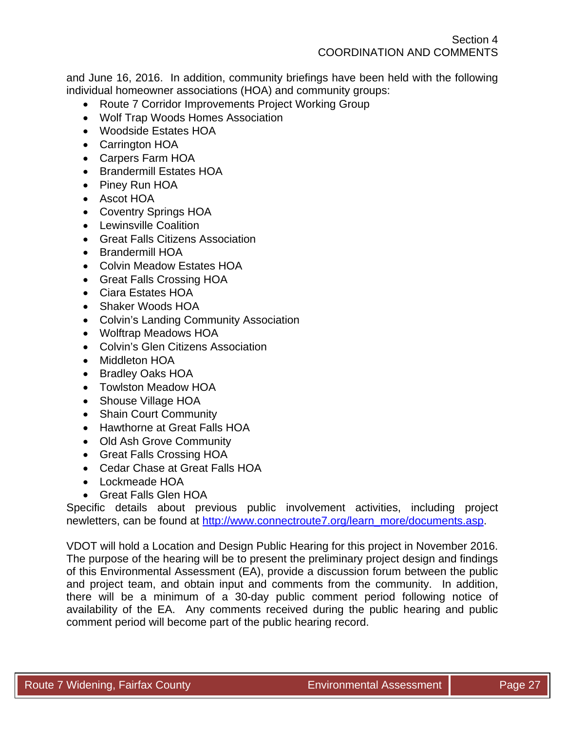and June 16, 2016. In addition, community briefings have been held with the following individual homeowner associations (HOA) and community groups:

- Route 7 Corridor Improvements Project Working Group
- Wolf Trap Woods Homes Association
- Woodside Estates HOA
- Carrington HOA
- Carpers Farm HOA
- Brandermill Estates HOA
- Piney Run HOA
- Ascot HOA
- Coventry Springs HOA
- Lewinsville Coalition
- Great Falls Citizens Association
- Brandermill HOA
- Colvin Meadow Estates HOA
- Great Falls Crossing HOA
- Ciara Estates HOA
- Shaker Woods HOA
- Colvin's Landing Community Association
- Wolftrap Meadows HOA
- Colvin's Glen Citizens Association
- Middleton HOA
- Bradley Oaks HOA
- Towlston Meadow HOA
- Shouse Village HOA
- Shain Court Community
- Hawthorne at Great Falls HOA
- Old Ash Grove Community
- Great Falls Crossing HOA
- Cedar Chase at Great Falls HOA
- Lockmeade HOA
- Great Falls Glen HOA

Specific details about previous public involvement activities, including project newletters, can be found at http://www.connectroute7.org/learn\_more/documents.asp.

VDOT will hold a Location and Design Public Hearing for this project in November 2016. The purpose of the hearing will be to present the preliminary project design and findings of this Environmental Assessment (EA), provide a discussion forum between the public and project team, and obtain input and comments from the community. In addition, there will be a minimum of a 30-day public comment period following notice of availability of the EA. Any comments received during the public hearing and public comment period will become part of the public hearing record.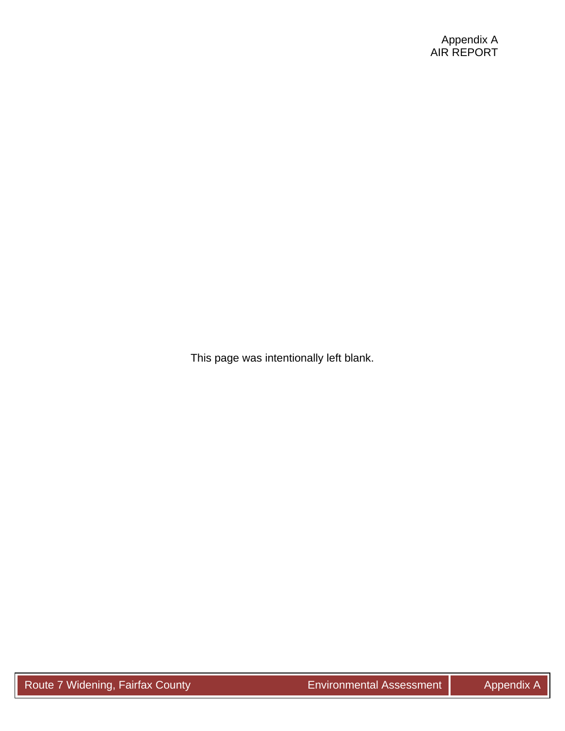This page was intentionally left blank.